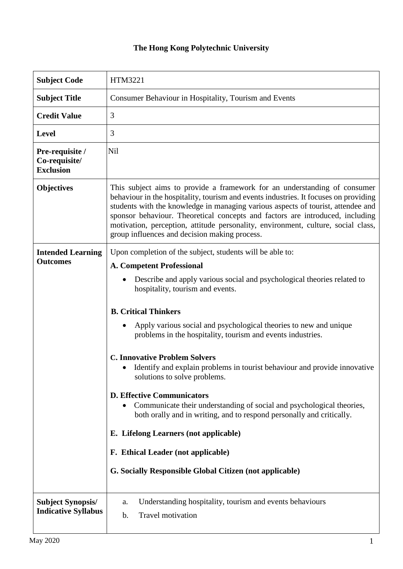## **The Hong Kong Polytechnic University**

| <b>Subject Code</b>                                    | HTM3221                                                                                                                                                                                                                                                                                                                                                                                                                                                                                                                                                                                                                                                                                                                                                                                                                                                               |  |  |
|--------------------------------------------------------|-----------------------------------------------------------------------------------------------------------------------------------------------------------------------------------------------------------------------------------------------------------------------------------------------------------------------------------------------------------------------------------------------------------------------------------------------------------------------------------------------------------------------------------------------------------------------------------------------------------------------------------------------------------------------------------------------------------------------------------------------------------------------------------------------------------------------------------------------------------------------|--|--|
| <b>Subject Title</b>                                   | Consumer Behaviour in Hospitality, Tourism and Events                                                                                                                                                                                                                                                                                                                                                                                                                                                                                                                                                                                                                                                                                                                                                                                                                 |  |  |
| <b>Credit Value</b>                                    | 3                                                                                                                                                                                                                                                                                                                                                                                                                                                                                                                                                                                                                                                                                                                                                                                                                                                                     |  |  |
| <b>Level</b>                                           | 3                                                                                                                                                                                                                                                                                                                                                                                                                                                                                                                                                                                                                                                                                                                                                                                                                                                                     |  |  |
| Pre-requisite /<br>Co-requisite/<br><b>Exclusion</b>   | Nil                                                                                                                                                                                                                                                                                                                                                                                                                                                                                                                                                                                                                                                                                                                                                                                                                                                                   |  |  |
| <b>Objectives</b>                                      | This subject aims to provide a framework for an understanding of consumer<br>behaviour in the hospitality, tourism and events industries. It focuses on providing<br>students with the knowledge in managing various aspects of tourist, attendee and<br>sponsor behaviour. Theoretical concepts and factors are introduced, including<br>motivation, perception, attitude personality, environment, culture, social class,<br>group influences and decision making process.                                                                                                                                                                                                                                                                                                                                                                                          |  |  |
| <b>Intended Learning</b><br><b>Outcomes</b>            | Upon completion of the subject, students will be able to:<br><b>A. Competent Professional</b><br>Describe and apply various social and psychological theories related to<br>hospitality, tourism and events.<br><b>B. Critical Thinkers</b><br>Apply various social and psychological theories to new and unique<br>problems in the hospitality, tourism and events industries.<br><b>C. Innovative Problem Solvers</b><br>Identify and explain problems in tourist behaviour and provide innovative<br>solutions to solve problems.<br><b>D. Effective Communicators</b><br>Communicate their understanding of social and psychological theories,<br>both orally and in writing, and to respond personally and critically.<br>E. Lifelong Learners (not applicable)<br>F. Ethical Leader (not applicable)<br>G. Socially Responsible Global Citizen (not applicable) |  |  |
| <b>Subject Synopsis/</b><br><b>Indicative Syllabus</b> | Understanding hospitality, tourism and events behaviours<br>a.<br>Travel motivation<br>b.                                                                                                                                                                                                                                                                                                                                                                                                                                                                                                                                                                                                                                                                                                                                                                             |  |  |